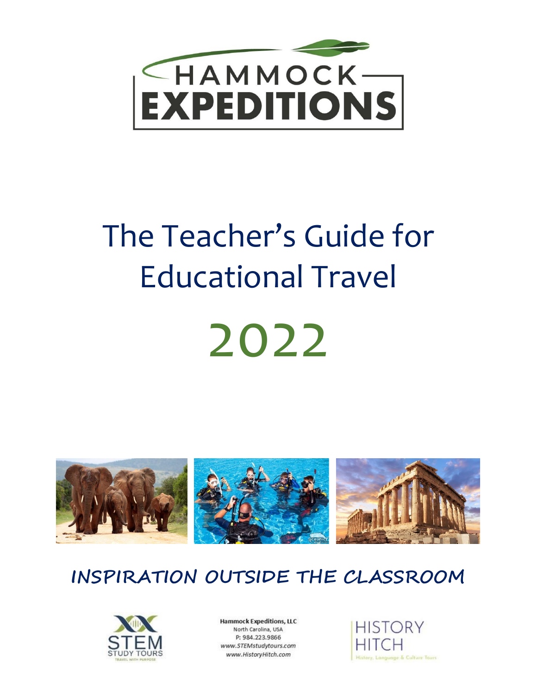

# The Teacher's Guide for Educational Travel 2022



## **INSPIRATION OUTSIDE THE CLASSROOM**



**Hammock Expeditions, LLC** North Carolina, USA P: 984.223.9866 www.STEMstudytours.com www.HistoryHitch.com

**HISTORY** History, Language & Culture Tours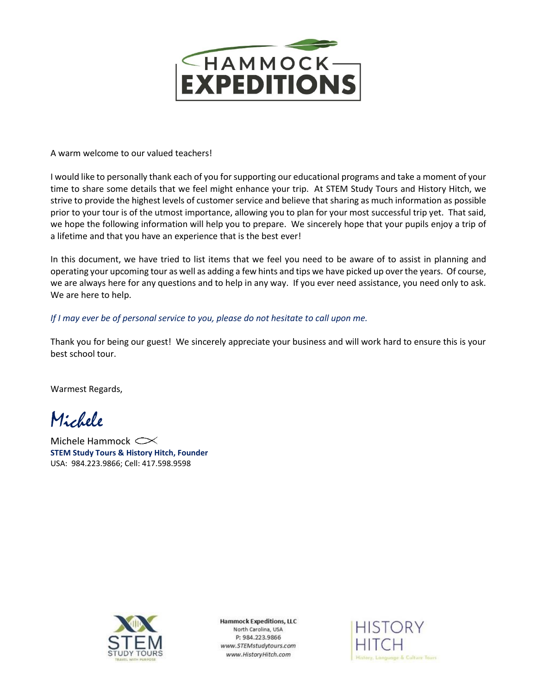

A warm welcome to our valued teachers!

I would like to personally thank each of you for supporting our educational programs and take a moment of your time to share some details that we feel might enhance your trip. At STEM Study Tours and History Hitch, we strive to provide the highest levels of customer service and believe that sharing as much information as possible prior to your tour is of the utmost importance, allowing you to plan for your most successful trip yet. That said, we hope the following information will help you to prepare. We sincerely hope that your pupils enjoy a trip of a lifetime and that you have an experience that is the best ever!

In this document, we have tried to list items that we feel you need to be aware of to assist in planning and operating your upcoming tour as well as adding a few hints and tips we have picked up over the years. Of course, we are always here for any questions and to help in any way. If you ever need assistance, you need only to ask. We are here to help.

*If I may ever be of personal service to you, please do not hesitate to call upon me.* 

Thank you for being our guest! We sincerely appreciate your business and will work hard to ensure this is your best school tour.

Warmest Regards,

Michele

Michele Hammock **STEM Study Tours & History Hitch, Founder** USA: 984.223.9866; Cell: 417.598.9598



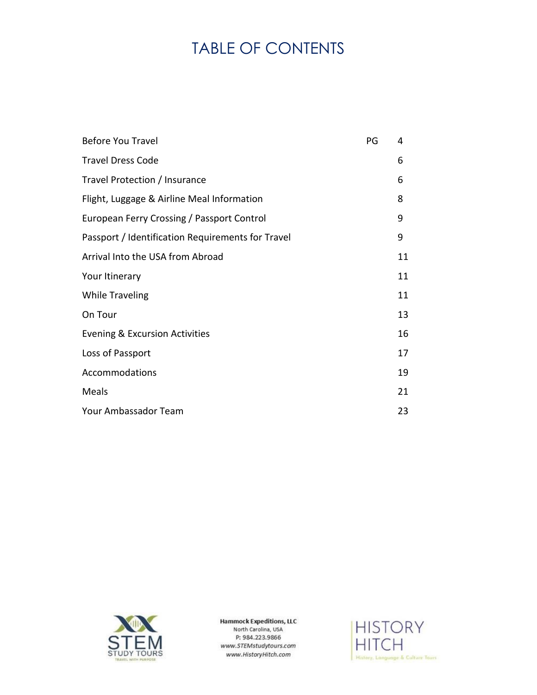## TABLE OF CONTENTS

| <b>Before You Travel</b>                          | PG | 4  |
|---------------------------------------------------|----|----|
| <b>Travel Dress Code</b>                          |    | 6  |
| Travel Protection / Insurance                     |    | 6  |
| Flight, Luggage & Airline Meal Information        |    | 8  |
| European Ferry Crossing / Passport Control        |    | 9  |
| Passport / Identification Requirements for Travel |    | 9  |
| Arrival Into the USA from Abroad                  |    | 11 |
| Your Itinerary                                    |    | 11 |
| <b>While Traveling</b>                            |    | 11 |
| On Tour                                           |    | 13 |
| Evening & Excursion Activities                    |    | 16 |
| Loss of Passport                                  |    | 17 |
| Accommodations                                    |    | 19 |
| Meals                                             |    | 21 |
| Your Ambassador Team                              |    | 23 |



**Hammock Expeditions, LLC** North Carolina, USA P: 984.223.9866 www.STEMstudytours.com www.HistoryHitch.com

**HISTORY HITCH** History, Language & Culture Tours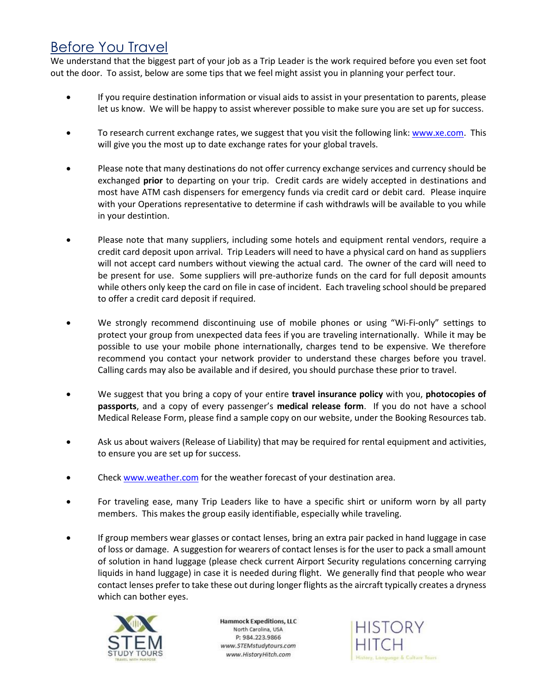#### Before You Travel

We understand that the biggest part of your job as a Trip Leader is the work required before you even set foot out the door. To assist, below are some tips that we feel might assist you in planning your perfect tour.

- If you require destination information or visual aids to assist in your presentation to parents, please let us know. We will be happy to assist wherever possible to make sure you are set up for success.
- To research current exchange rates, we suggest that you visit the following link: [www.xe.com.](http://www.xe.com/) This will give you the most up to date exchange rates for your global travels.
- Please note that many destinations do not offer currency exchange services and currency should be exchanged **prior** to departing on your trip. Credit cards are widely accepted in destinations and most have ATM cash dispensers for emergency funds via credit card or debit card. Please inquire with your Operations representative to determine if cash withdrawls will be available to you while in your destintion.
- Please note that many suppliers, including some hotels and equipment rental vendors, require a credit card deposit upon arrival. Trip Leaders will need to have a physical card on hand as suppliers will not accept card numbers without viewing the actual card. The owner of the card will need to be present for use. Some suppliers will pre-authorize funds on the card for full deposit amounts while others only keep the card on file in case of incident. Each traveling school should be prepared to offer a credit card deposit if required.
- We strongly recommend discontinuing use of mobile phones or using "Wi-Fi-only" settings to protect your group from unexpected data fees if you are traveling internationally. While it may be possible to use your mobile phone internationally, charges tend to be expensive. We therefore recommend you contact your network provider to understand these charges before you travel. Calling cards may also be available and if desired, you should purchase these prior to travel.
- We suggest that you bring a copy of your entire **travel insurance policy** with you, **photocopies of passports**, and a copy of every passenger's **medical release form**. If you do not have a school Medical Release Form, please find a sample copy on our website, under the Booking Resources tab.
- Ask us about waivers (Release of Liability) that may be required for rental equipment and activities, to ensure you are set up for success.
- Check [www.weather.com](http://www.weather.com/) for the weather forecast of your destination area.
- For traveling ease, many Trip Leaders like to have a specific shirt or uniform worn by all party members. This makes the group easily identifiable, especially while traveling.
- If group members wear glasses or contact lenses, bring an extra pair packed in hand luggage in case of loss or damage. A suggestion for wearers of contact lenses is for the user to pack a small amount of solution in hand luggage (please check current Airport Security regulations concerning carrying liquids in hand luggage) in case it is needed during flight. We generally find that people who wear contact lenses prefer to take these out during longer flights as the aircraft typically creates a dryness which can bother eyes.



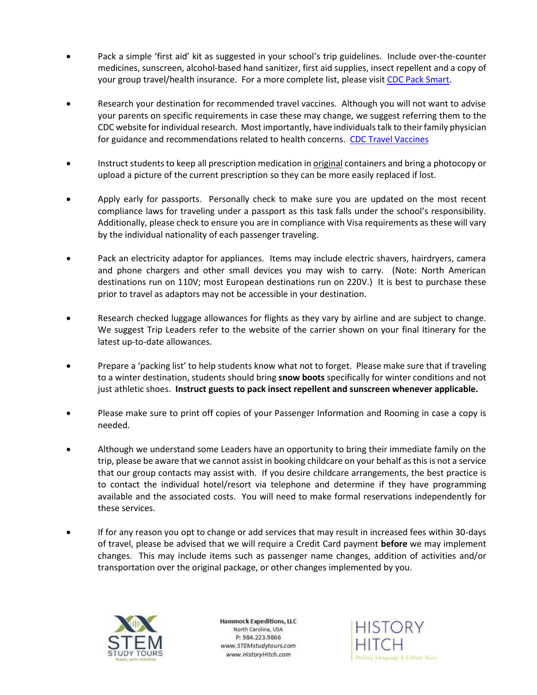- Pack a simple 'first aid' kit as suggested in your school's trip guidelines. Include over-the-counter medicines, sunscreen, alcohol-based hand sanitizer, first aid supplies, insect repellent and a copy of your group travel/health insurance. For a more complete list, please visi[t CDC Pack Smart.](https://wwwnc.cdc.gov/travel/page/pack-smart)
- Research your destination for recommended travel vaccines. Although you will not want to advise your parents on specific requirements in case these may change, we suggest referring them to the CDC website for individual research. Most importantly, have individuals talk to their family physician for guidance and recommendations related to health concerns. [CDC Travel Vaccines](https://wwwnc.cdc.gov/travel/page/travel-vaccines)
- Instruct students to keep all prescription medication in *original* containers and bring a photocopy or upload a picture of the current prescription so they can be more easily replaced if lost.
- Apply early for passports. Personally check to make sure you are updated on the most recent compliance laws for traveling under a passport as this task falls under the school's responsibility. Additionally, please check to ensure you are in compliance with Visa requirements as these will vary by the individual nationality of each passenger traveling.
- Pack an electricity adaptor for appliances. Items may include electric shavers, hairdryers, camera and phone chargers and other small devices you may wish to carry. (Note: North American destinations run on 110V; most European destinations run on 220V.) It is best to purchase these prior to travel as adaptors may not be accessible in your destination.
- Research checked luggage allowances for flights as they vary by airline and are subject to change. We suggest Trip Leaders refer to the website of the carrier shown on your final Itinerary for the latest up-to-date allowances.
- Prepare a 'packing list' to help students know what not to forget. Please make sure that if traveling to a winter destination, students should bring **snow boots** specifically for winter conditions and not just athletic shoes. **Instruct guests to pack insect repellent and sunscreen whenever applicable.**
- Please make sure to print off copies of your Passenger Information and Rooming in case a copy is needed.
- Although we understand some Leaders have an opportunity to bring their immediate family on the trip, please be aware that we cannot assist in booking childcare on your behalf as this is not a service that our group contacts may assist with. If you desire childcare arrangements, the best practice is to contact the individual hotel/resort via telephone and determine if they have programming available and the associated costs. You will need to make formal reservations independently for these services.
- If for any reason you opt to change or add services that may result in increased fees within 30-days of travel, please be advised that we will require a Credit Card payment **before** we may implement changes. This may include items such as passenger name changes, addition of activities and/or transportation over the original package, or other changes implemented by you.



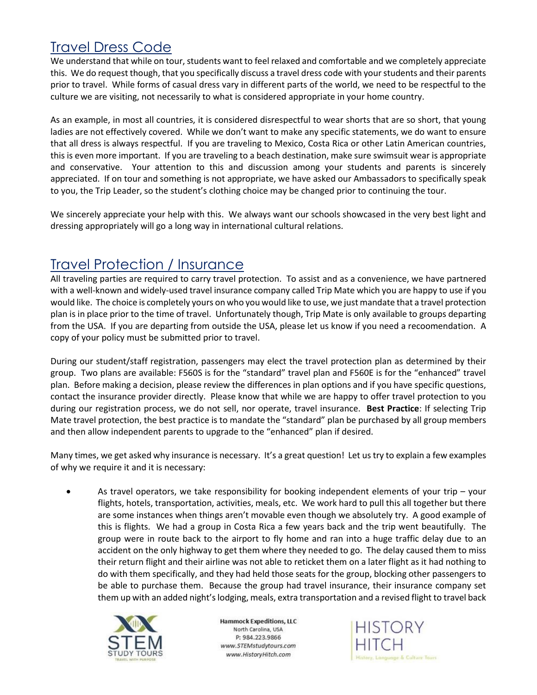#### Travel Dress Code

We understand that while on tour, students want to feel relaxed and comfortable and we completely appreciate this. We do request though, that you specifically discuss a travel dress code with your students and their parents prior to travel. While forms of casual dress vary in different parts of the world, we need to be respectful to the culture we are visiting, not necessarily to what is considered appropriate in your home country.

As an example, in most all countries, it is considered disrespectful to wear shorts that are so short, that young ladies are not effectively covered. While we don't want to make any specific statements, we do want to ensure that all dress is always respectful. If you are traveling to Mexico, Costa Rica or other Latin American countries, this is even more important. If you are traveling to a beach destination, make sure swimsuit wear is appropriate and conservative. Your attention to this and discussion among your students and parents is sincerely appreciated. If on tour and something is not appropriate, we have asked our Ambassadors to specifically speak to you, the Trip Leader, so the student's clothing choice may be changed prior to continuing the tour.

We sincerely appreciate your help with this. We always want our schools showcased in the very best light and dressing appropriately will go a long way in international cultural relations.

#### Travel Protection / Insurance

All traveling parties are required to carry travel protection. To assist and as a convenience, we have partnered with a well-known and widely-used travel insurance company called Trip Mate which you are happy to use if you would like. The choice is completely yours on who you would like to use, we just mandate that a travel protection plan is in place prior to the time of travel. Unfortunately though, Trip Mate is only available to groups departing from the USA. If you are departing from outside the USA, please let us know if you need a recoomendation. A copy of your policy must be submitted prior to travel.

During our student/staff registration, passengers may elect the travel protection plan as determined by their group. Two plans are available: F560S is for the "standard" travel plan and F560E is for the "enhanced" travel plan. Before making a decision, please review the differences in plan options and if you have specific questions, contact the insurance provider directly. Please know that while we are happy to offer travel protection to you during our registration process, we do not sell, nor operate, travel insurance. **Best Practice**: If selecting Trip Mate travel protection, the best practice is to mandate the "standard" plan be purchased by all group members and then allow independent parents to upgrade to the "enhanced" plan if desired.

Many times, we get asked why insurance is necessary. It's a great question! Let us try to explain a few examples of why we require it and it is necessary:

• As travel operators, we take responsibility for booking independent elements of your trip – your flights, hotels, transportation, activities, meals, etc. We work hard to pull this all together but there are some instances when things aren't movable even though we absolutely try. A good example of this is flights. We had a group in Costa Rica a few years back and the trip went beautifully. The group were in route back to the airport to fly home and ran into a huge traffic delay due to an accident on the only highway to get them where they needed to go. The delay caused them to miss their return flight and their airline was not able to reticket them on a later flight as it had nothing to do with them specifically, and they had held those seats for the group, blocking other passengers to be able to purchase them. Because the group had travel insurance, their insurance company set them up with an added night's lodging, meals, extra transportation and a revised flight to travel back



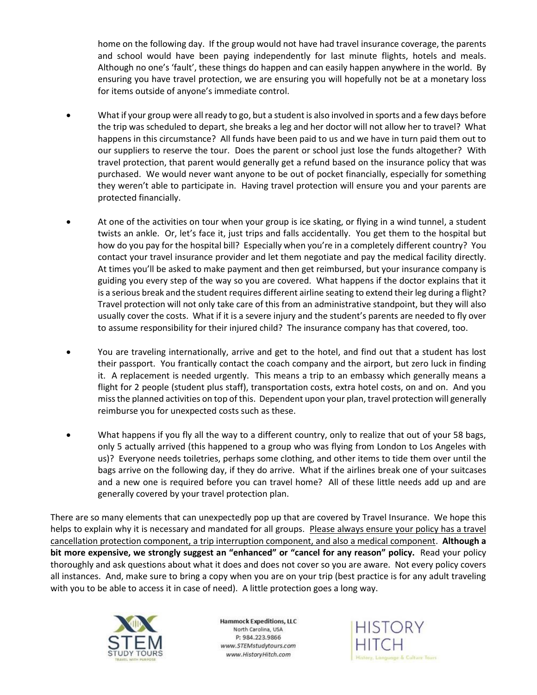home on the following day. If the group would not have had travel insurance coverage, the parents and school would have been paying independently for last minute flights, hotels and meals. Although no one's 'fault', these things do happen and can easily happen anywhere in the world. By ensuring you have travel protection, we are ensuring you will hopefully not be at a monetary loss for items outside of anyone's immediate control.

- What if your group were all ready to go, but a student is also involved in sports and a few days before the trip was scheduled to depart, she breaks a leg and her doctor will not allow her to travel? What happens in this circumstance? All funds have been paid to us and we have in turn paid them out to our suppliers to reserve the tour. Does the parent or school just lose the funds altogether? With travel protection, that parent would generally get a refund based on the insurance policy that was purchased. We would never want anyone to be out of pocket financially, especially for something they weren't able to participate in. Having travel protection will ensure you and your parents are protected financially.
- At one of the activities on tour when your group is ice skating, or flying in a wind tunnel, a student twists an ankle. Or, let's face it, just trips and falls accidentally. You get them to the hospital but how do you pay for the hospital bill? Especially when you're in a completely different country? You contact your travel insurance provider and let them negotiate and pay the medical facility directly. At times you'll be asked to make payment and then get reimbursed, but your insurance company is guiding you every step of the way so you are covered. What happens if the doctor explains that it is a serious break and the student requires different airline seating to extend their leg during a flight? Travel protection will not only take care of this from an administrative standpoint, but they will also usually cover the costs. What if it is a severe injury and the student's parents are needed to fly over to assume responsibility for their injured child? The insurance company has that covered, too.
- You are traveling internationally, arrive and get to the hotel, and find out that a student has lost their passport. You frantically contact the coach company and the airport, but zero luck in finding it. A replacement is needed urgently. This means a trip to an embassy which generally means a flight for 2 people (student plus staff), transportation costs, extra hotel costs, on and on. And you miss the planned activities on top of this. Dependent upon your plan, travel protection will generally reimburse you for unexpected costs such as these.
- What happens if you fly all the way to a different country, only to realize that out of your 58 bags, only 5 actually arrived (this happened to a group who was flying from London to Los Angeles with us)? Everyone needs toiletries, perhaps some clothing, and other items to tide them over until the bags arrive on the following day, if they do arrive. What if the airlines break one of your suitcases and a new one is required before you can travel home? All of these little needs add up and are generally covered by your travel protection plan.

There are so many elements that can unexpectedly pop up that are covered by Travel Insurance. We hope this helps to explain why it is necessary and mandated for all groups. Please always ensure your policy has a travel cancellation protection component, a trip interruption component, and also a medical component. **Although a bit more expensive, we strongly suggest an "enhanced" or "cancel for any reason" policy.** Read your policy thoroughly and ask questions about what it does and does not cover so you are aware. Not every policy covers all instances. And, make sure to bring a copy when you are on your trip (best practice is for any adult traveling with you to be able to access it in case of need). A little protection goes a long way.



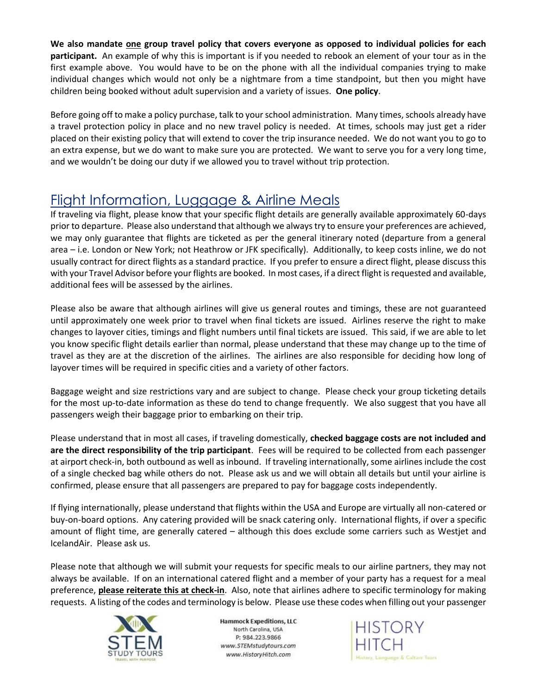**We also mandate one group travel policy that covers everyone as opposed to individual policies for each participant.** An example of why this is important is if you needed to rebook an element of your tour as in the first example above. You would have to be on the phone with all the individual companies trying to make individual changes which would not only be a nightmare from a time standpoint, but then you might have children being booked without adult supervision and a variety of issues. **One policy**.

Before going off to make a policy purchase, talk to your school administration. Many times, schools already have a travel protection policy in place and no new travel policy is needed. At times, schools may just get a rider placed on their existing policy that will extend to cover the trip insurance needed. We do not want you to go to an extra expense, but we do want to make sure you are protected. We want to serve you for a very long time, and we wouldn't be doing our duty if we allowed you to travel without trip protection.

#### Flight Information, Luggage & Airline Meals

If traveling via flight, please know that your specific flight details are generally available approximately 60-days prior to departure. Please also understand that although we always try to ensure your preferences are achieved, we may only guarantee that flights are ticketed as per the general itinerary noted (departure from a general area – i.e. London or New York; not Heathrow or JFK specifically). Additionally, to keep costs inline, we do not usually contract for direct flights as a standard practice. If you prefer to ensure a direct flight, please discuss this with your Travel Advisor before your flights are booked. In most cases, if a direct flight is requested and available, additional fees will be assessed by the airlines.

Please also be aware that although airlines will give us general routes and timings, these are not guaranteed until approximately one week prior to travel when final tickets are issued. Airlines reserve the right to make changes to layover cities, timings and flight numbers until final tickets are issued. This said, if we are able to let you know specific flight details earlier than normal, please understand that these may change up to the time of travel as they are at the discretion of the airlines. The airlines are also responsible for deciding how long of layover times will be required in specific cities and a variety of other factors.

Baggage weight and size restrictions vary and are subject to change. Please check your group ticketing details for the most up-to-date information as these do tend to change frequently. We also suggest that you have all passengers weigh their baggage prior to embarking on their trip.

Please understand that in most all cases, if traveling domestically, **checked baggage costs are not included and are the direct responsibility of the trip participant**. Fees will be required to be collected from each passenger at airport check-in, both outbound as well as inbound. If traveling internationally, some airlines include the cost of a single checked bag while others do not. Please ask us and we will obtain all details but until your airline is confirmed, please ensure that all passengers are prepared to pay for baggage costs independently.

If flying internationally, please understand that flights within the USA and Europe are virtually all non-catered or buy-on-board options. Any catering provided will be snack catering only. International flights, if over a specific amount of flight time, are generally catered – although this does exclude some carriers such as Westjet and IcelandAir. Please ask us.

Please note that although we will submit your requests for specific meals to our airline partners, they may not always be available. If on an international catered flight and a member of your party has a request for a meal preference, **please reiterate this at check-in**. Also, note that airlines adhere to specific terminology for making requests. A listing of the codes and terminology is below. Please use these codes when filling out your passenger



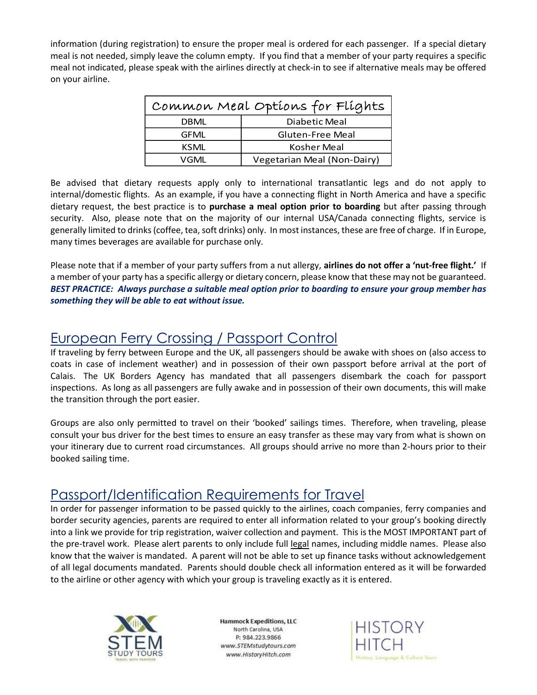information (during registration) to ensure the proper meal is ordered for each passenger. If a special dietary meal is not needed, simply leave the column empty. If you find that a member of your party requires a specific meal not indicated, please speak with the airlines directly at check-in to see if alternative meals may be offered on your airline.

| Common Meal Options for Flights |                             |  |
|---------------------------------|-----------------------------|--|
| DBML                            | Diabetic Meal               |  |
| <b>GFML</b>                     | <b>Gluten-Free Meal</b>     |  |
| <b>KSML</b>                     | Kosher Meal                 |  |
| VGML                            | Vegetarian Meal (Non-Dairy) |  |

Be advised that dietary requests apply only to international transatlantic legs and do not apply to internal/domestic flights. As an example, if you have a connecting flight in North America and have a specific dietary request, the best practice is to **purchase a meal option prior to boarding** but after passing through security. Also, please note that on the majority of our internal USA/Canada connecting flights, service is generally limited to drinks (coffee, tea, soft drinks) only. In most instances, these are free of charge. If in Europe, many times beverages are available for purchase only.

Please note that if a member of your party suffers from a nut allergy, **airlines do not offer a 'nut-free flight.'** If a member of your party has a specific allergy or dietary concern, please know that these may not be guaranteed. *BEST PRACTICE: Always purchase a suitable meal option prior to boarding to ensure your group member has something they will be able to eat without issue.*

#### European Ferry Crossing / Passport Control

If traveling by ferry between Europe and the UK, all passengers should be awake with shoes on (also access to coats in case of inclement weather) and in possession of their own passport before arrival at the port of Calais. The UK Borders Agency has mandated that all passengers disembark the coach for passport inspections. As long as all passengers are fully awake and in possession of their own documents, this will make the transition through the port easier.

Groups are also only permitted to travel on their 'booked' sailings times. Therefore, when traveling, please consult your bus driver for the best times to ensure an easy transfer as these may vary from what is shown on your itinerary due to current road circumstances. All groups should arrive no more than 2-hours prior to their booked sailing time.

#### Passport/Identification Requirements for Travel

In order for passenger information to be passed quickly to the airlines, coach companies, ferry companies and border security agencies, parents are required to enter all information related to your group's booking directly into a link we provide for trip registration, waiver collection and payment. This is the MOST IMPORTANT part of the pre-travel work. Please alert parents to only include full legal names, including middle names. Please also know that the waiver is mandated. A parent will not be able to set up finance tasks without acknowledgement of all legal documents mandated. Parents should double check all information entered as it will be forwarded to the airline or other agency with which your group is traveling exactly as it is entered.



**Hammock Expeditions, LLC** North Carolina, USA P: 984.223.9866 www.STEMstudytours.com www.HistoryHitch.com

**HISTORY** age & Culture Tours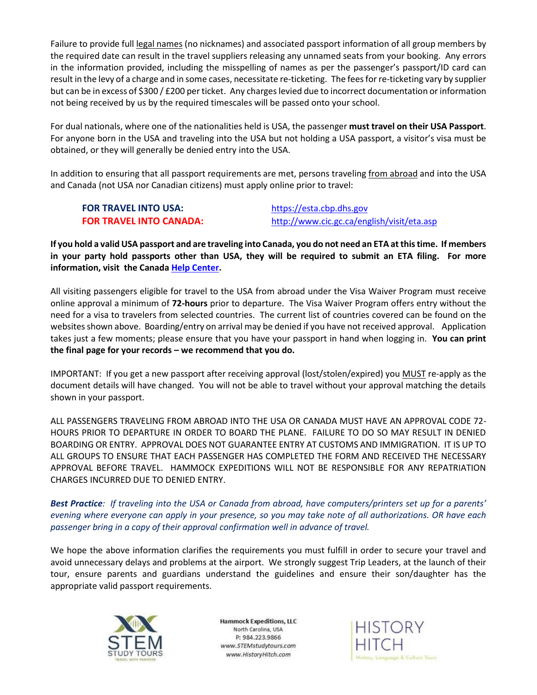Failure to provide full legal names (no nicknames) and associated passport information of all group members by the required date can result in the travel suppliers releasing any unnamed seats from your booking. Any errors in the information provided, including the misspelling of names as per the passenger's passport/ID card can result in the levy of a charge and in some cases, necessitate re-ticketing. The fees for re-ticketing vary by supplier but can be in excess of \$300 / £200 per ticket. Any charges levied due to incorrect documentation or information not being received by us by the required timescales will be passed onto your school.

For dual nationals, where one of the nationalities held is USA, the passenger **must travel on their USA Passport**. For anyone born in the USA and traveling into the USA but not holding a USA passport, a visitor's visa must be obtained, or they will generally be denied entry into the USA.

In addition to ensuring that all passport requirements are met, persons traveling from abroad and into the USA and Canada (not USA nor Canadian citizens) must apply online prior to travel:

## **FOR TRAVEL INTO USA:** [https://esta.cbp.dhs.gov](https://esta.cbp.dhs.gov/)

**FOR TRAVEL INTO CANADA:** <http://www.cic.gc.ca/english/visit/eta.asp>

**If you hold a valid USA passport and are traveling into Canada, you do not need an ETA at this time. If members in your party hold passports other than USA, they will be required to submit an ETA filing. For more information, visit the Canada [Help Center.](https://www.cic.gc.ca/english/helpcentre/answer.asp?qnum=1116&top=16)**

All visiting passengers eligible for travel to the USA from abroad under the Visa Waiver Program must receive online approval a minimum of **72-hours** prior to departure. The Visa Waiver Program offers entry without the need for a visa to travelers from selected countries. The current list of countries covered can be found on the websites shown above. Boarding/entry on arrival may be denied if you have not received approval. Application takes just a few moments; please ensure that you have your passport in hand when logging in. **You can print the final page for your records – we recommend that you do.** 

IMPORTANT: If you get a new passport after receiving approval (lost/stolen/expired) you MUST re-apply as the document details will have changed. You will not be able to travel without your approval matching the details shown in your passport.

ALL PASSENGERS TRAVELING FROM ABROAD INTO THE USA OR CANADA MUST HAVE AN APPROVAL CODE 72- HOURS PRIOR TO DEPARTURE IN ORDER TO BOARD THE PLANE. FAILURE TO DO SO MAY RESULT IN DENIED BOARDING OR ENTRY. APPROVAL DOES NOT GUARANTEE ENTRY AT CUSTOMS AND IMMIGRATION. IT IS UP TO ALL GROUPS TO ENSURE THAT EACH PASSENGER HAS COMPLETED THE FORM AND RECEIVED THE NECESSARY APPROVAL BEFORE TRAVEL. HAMMOCK EXPEDITIONS WILL NOT BE RESPONSIBLE FOR ANY REPATRIATION CHARGES INCURRED DUE TO DENIED ENTRY.

*Best Practice: If traveling into the USA or Canada from abroad, have computers/printers set up for a parents' evening where everyone can apply in your presence, so you may take note of all authorizations. OR have each passenger bring in a copy of their approval confirmation well in advance of travel.*

We hope the above information clarifies the requirements you must fulfill in order to secure your travel and avoid unnecessary delays and problems at the airport. We strongly suggest Trip Leaders, at the launch of their tour, ensure parents and guardians understand the guidelines and ensure their son/daughter has the appropriate valid passport requirements.



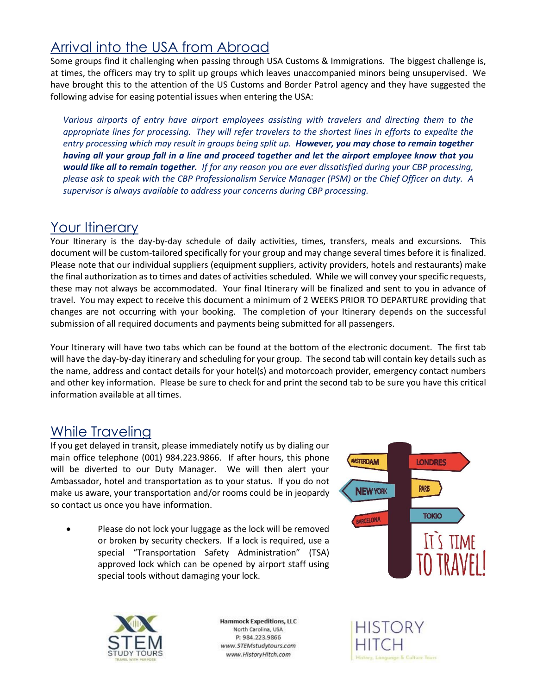### Arrival into the USA from Abroad

Some groups find it challenging when passing through USA Customs & Immigrations. The biggest challenge is, at times, the officers may try to split up groups which leaves unaccompanied minors being unsupervised. We have brought this to the attention of the US Customs and Border Patrol agency and they have suggested the following advise for easing potential issues when entering the USA:

*Various airports of entry have airport employees assisting with travelers and directing them to the appropriate lines for processing. They will refer travelers to the shortest lines in efforts to expedite the entry processing which may result in groups being split up. However, you may chose to remain together having all your group fall in a line and proceed together and let the airport employee know that you would like all to remain together. If for any reason you are ever dissatisfied during your CBP processing, please ask to speak with the CBP Professionalism Service Manager (PSM) or the Chief Officer on duty. A supervisor is always available to address your concerns during CBP processing.*

#### Your Itinerary

Your Itinerary is the day-by-day schedule of daily activities, times, transfers, meals and excursions. This document will be custom-tailored specifically for your group and may change several times before it is finalized. Please note that our individual suppliers (equipment suppliers, activity providers, hotels and restaurants) make the final authorization as to times and dates of activities scheduled. While we will convey your specific requests, these may not always be accommodated. Your final Itinerary will be finalized and sent to you in advance of travel. You may expect to receive this document a minimum of 2 WEEKS PRIOR TO DEPARTURE providing that changes are not occurring with your booking. The completion of your Itinerary depends on the successful submission of all required documents and payments being submitted for all passengers.

Your Itinerary will have two tabs which can be found at the bottom of the electronic document. The first tab will have the day-by-day itinerary and scheduling for your group. The second tab will contain key details such as the name, address and contact details for your hotel(s) and motorcoach provider, emergency contact numbers and other key information. Please be sure to check for and print the second tab to be sure you have this critical information available at all times.

#### While Traveling

If you get delayed in transit, please immediately notify us by dialing our main office telephone (001) 984.223.9866. If after hours, this phone will be diverted to our Duty Manager. We will then alert your Ambassador, hotel and transportation as to your status. If you do not make us aware, your transportation and/or rooms could be in jeopardy so contact us once you have information.

Please do not lock your luggage as the lock will be removed or broken by security checkers. If a lock is required, use a special "Transportation Safety Administration" (TSA) approved lock which can be opened by airport staff using special tools without damaging your lock.





**Hammock Expeditions, LLC** North Carolina, USA P: 984.223.9866 www.STEMstudytours.com www.HistoryHitch.com

**HISTORY** inge & Culture Tours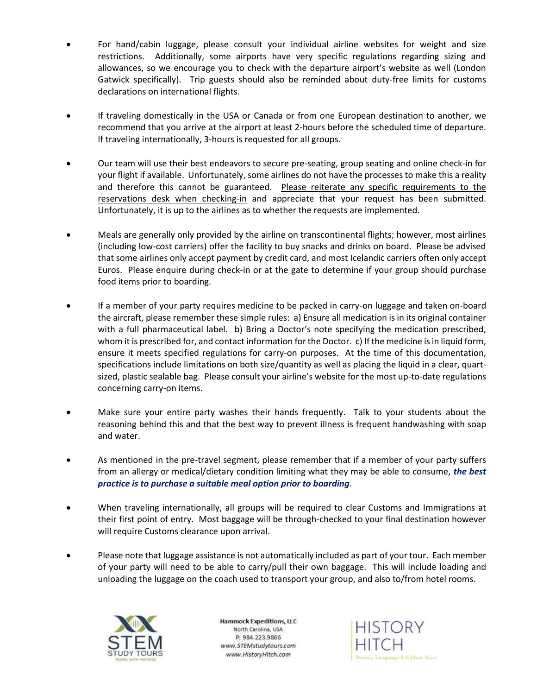- For hand/cabin luggage, please consult [your](http://www.baa.co.uk/) individual airline websites for weight and size restrictions. Additionally, some airports have very specific regulations regarding sizing and allowances, so we encourage you to check with the departure airport's website as well (London Gatwick specifically). Trip guests should also be reminded about duty-free limits for customs declarations on international flights.
- If traveling domestically in the USA or Canada or from one European destination to another, we recommend that you arrive at the airport at least 2-hours before the scheduled time of departure. If traveling internationally, 3-hours is requested for all groups.
- Our team will use their best endeavors to secure pre-seating, group seating and online check-in for your flight if available. Unfortunately, some airlines do not have the processes to make this a reality and therefore this cannot be guaranteed. Please reiterate any specific requirements to the reservations desk when checking-in and appreciate that your request has been submitted. Unfortunately, it is up to the airlines as to whether the requests are implemented.
- Meals are generally only provided by the airline on transcontinental flights; however, most airlines (including low-cost carriers) offer the facility to buy snacks and drinks on board. Please be advised that some airlines only accept payment by credit card, and most Icelandic carriers often only accept Euros. Please enquire during check-in or at the gate to determine if your group should purchase food items prior to boarding.
- If a member of your party requires medicine to be packed in carry-on luggage and taken on-board the aircraft, please remember these simple rules: a) Ensure all medication is in its original container with a full pharmaceutical label. b) Bring a Doctor's note specifying the medication prescribed, whom it is prescribed for, and contact information for the Doctor. c) If the medicine is in liquid form, ensure it meets specified regulations for carry-on purposes. At the time of this documentation, specifications include limitations on both size/quantity as well as placing the liquid in a clear, quartsized, plastic sealable bag. Please consult your airline's website for the most up-to-date regulations concerning carry-on items.
- Make sure your entire party washes their hands frequently. Talk to your students about the reasoning behind this and that the best way to prevent illness is frequent handwashing with soap and water.
- As mentioned in the pre-travel segment, please remember that if a member of your party suffers from an allergy or medical/dietary condition limiting what they may be able to consume, *the best practice is to purchase a suitable meal option prior to boarding*.
- When traveling internationally, all groups will be required to clear Customs and Immigrations at their first point of entry. Most baggage will be through-checked to your final destination however will require Customs clearance upon arrival.
- Please note that luggage assistance is not automatically included as part of your tour. Each member of your party will need to be able to carry/pull their own baggage. This will include loading and unloading the luggage on the coach used to transport your group, and also to/from hotel rooms.



**Hammock Expeditions, LLC** North Carolina, USA P: 984.223.9866 www.STEMstudytours.com www.HistoryHitch.com

**HISTORY** ory, Language & Culture Tours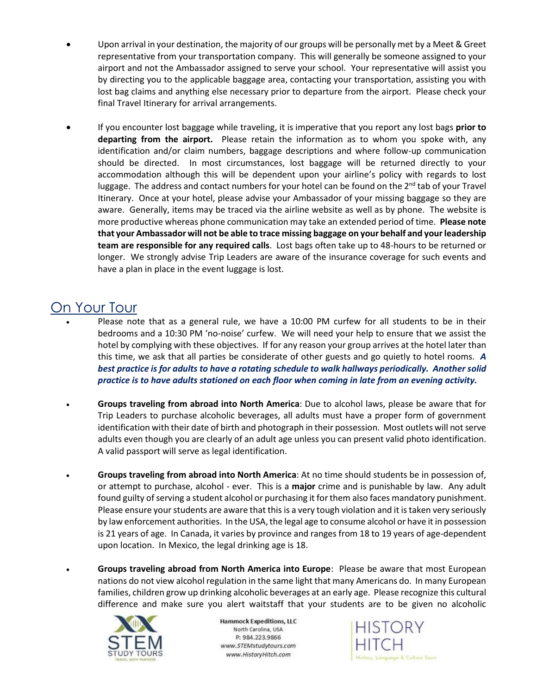- Upon arrival in your destination, the majority of our groups will be personally met by a Meet & Greet representative from your transportation company. This will generally be someone assigned to your airport and not the Ambassador assigned to serve your school. Your representative will assist you by directing you to the applicable baggage area, contacting your transportation, assisting you with lost bag claims and anything else necessary prior to departure from the airport. Please check your final Travel Itinerary for arrival arrangements.
- If you encounter lost baggage while traveling, it is imperative that you report any lost bags **prior to departing from the airport.** Please retain the information as to whom you spoke with, any identification and/or claim numbers, baggage descriptions and where follow-up communication should be directed. In most circumstances, lost baggage will be returned directly to your accommodation although this will be dependent upon your airline's policy with regards to lost luggage. The address and contact numbers for your hotel can be found on the  $2<sup>nd</sup>$  tab of your Travel Itinerary. Once at your hotel, please advise your Ambassador of your missing baggage so they are aware. Generally, items may be traced via the airline website as well as by phone. The website is more productive whereas phone communication may take an extended period of time. **Please note that your Ambassador will not be able to trace missing baggage on your behalf and your leadership team are responsible for any required calls**. Lost bags often take up to 48-hours to be returned or longer. We strongly advise Trip Leaders are aware of the insurance coverage for such events and have a plan in place in the event luggage is lost.

#### On Your Tour

- Please note that as a general rule, we have a 10:00 PM curfew for all students to be in their bedrooms and a 10:30 PM 'no-noise' curfew. We will need your help to ensure that we assist the hotel by complying with these objectives. If for any reason your group arrives at the hotel later than this time, we ask that all parties be considerate of other guests and go quietly to hotel rooms. *A best practice is for adults to have a rotating schedule to walk hallways periodically. Another solid practice is to have adults stationed on each floor when coming in late from an evening activity.*
- **Groups traveling from abroad into North America**: Due to alcohol laws, please be aware that for Trip Leaders to purchase alcoholic beverages, all adults must have a proper form of government identification with their date of birth and photograph in their possession. Most outlets will not serve adults even though you are clearly of an adult age unless you can present valid photo identification. A valid passport will serve as legal identification.
- **Groups traveling from abroad into North America**: At no time should students be in possession of, or attempt to purchase, alcohol - ever. This is a **major** crime and is punishable by law. Any adult found guilty of serving a student alcohol or purchasing it for them also faces mandatory punishment. Please ensure your students are aware that this is a very tough violation and it is taken very seriously by law enforcement authorities. In the USA, the legal age to consume alcohol or have it in possession is 21 years of age. In Canada, it varies by province and ranges from 18 to 19 years of age-dependent upon location. In Mexico, the legal drinking age is 18.
- **Groups traveling abroad from North America into Europe**: Please be aware that most European nations do not view alcohol regulation in the same light that many Americans do. In many European families, children grow up drinking alcoholic beverages at an early age. Please recognize this cultural difference and make sure you alert waitstaff that your students are to be given no alcoholic



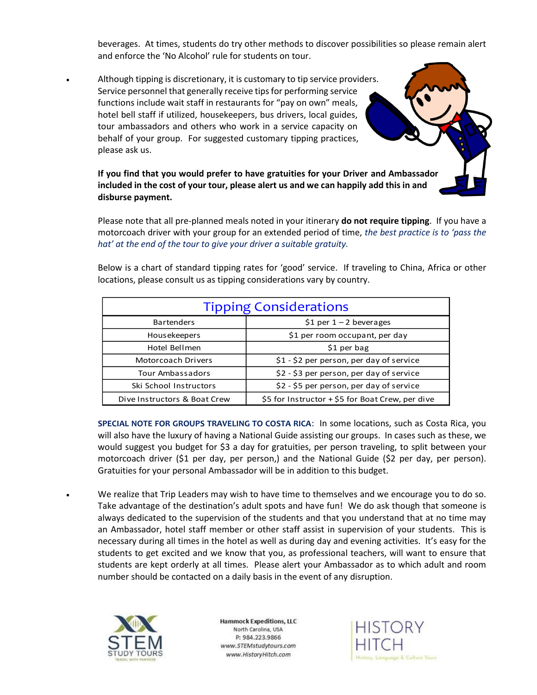beverages. At times, students do try other methods to discover possibilities so please remain alert and enforce the 'No Alcohol' rule for students on tour.

Although tipping is discretionary, it is customary to tip service providers. Service personnel that generally receive tips for performing service functions include wait staff in restaurants for "pay on own" meals, hotel bell staff if utilized, housekeepers, bus drivers, local guides, tour ambassadors and others who work in a service capacity on behalf of your group. For suggested customary tipping practices, please ask us.

**If you find that you would prefer to have gratuities for your Driver and Ambassador included in the cost of your tour, please alert us and we can happily add this in and disburse payment.** 

Please note that all pre-planned meals noted in your itinerary **do not require tipping**. If you have a motorcoach driver with your group for an extended period of time, *the best practice is to 'pass the hat' at the end of the tour to give your driver a suitable gratuity.*

| <b>Tipping Considerations</b> |                                                  |  |
|-------------------------------|--------------------------------------------------|--|
| <b>Bartenders</b>             | \$1 per $1 - 2$ beverages                        |  |
| <b>Housekeepers</b>           | \$1 per room occupant, per day                   |  |
| Hotel Bellmen                 | $$1$ per bag                                     |  |
| Motorcoach Drivers            | \$1 - \$2 per person, per day of service         |  |
| <b>Tour Ambassadors</b>       | \$2 - \$3 per person, per day of service         |  |
| Ski School Instructors        | \$2 - \$5 per person, per day of service         |  |
| Dive Instructors & Boat Crew  | \$5 for Instructor + \$5 for Boat Crew, per dive |  |

Below is a chart of standard tipping rates for 'good' service. If traveling to China, Africa or other locations, please consult us as tipping considerations vary by country.

**SPECIAL NOTE FOR GROUPS TRAVELING TO COSTA RICA**: In some locations, such as Costa Rica, you will also have the luxury of having a National Guide assisting our groups. In cases such as these, we would suggest you budget for \$3 a day for gratuities, per person traveling, to split between your motorcoach driver (\$1 per day, per person,) and the National Guide (\$2 per day, per person). Gratuities for your personal Ambassador will be in addition to this budget.

• We realize that Trip Leaders may wish to have time to themselves and we encourage you to do so. Take advantage of the destination's adult spots and have fun! We do ask though that someone is always dedicated to the supervision of the students and that you understand that at no time may an Ambassador, hotel staff member or other staff assist in supervision of your students. This is necessary during all times in the hotel as well as during day and evening activities. It's easy for the students to get excited and we know that you, as professional teachers, will want to ensure that students are kept orderly at all times. Please alert your Ambassador as to which adult and room number should be contacted on a daily basis in the event of any disruption.



**Hammock Expeditions, LLC** North Carolina, USA P: 984.223.9866 www.STEMstudytours.com www.HistoryHitch.com

HISTORY e & Culture Tours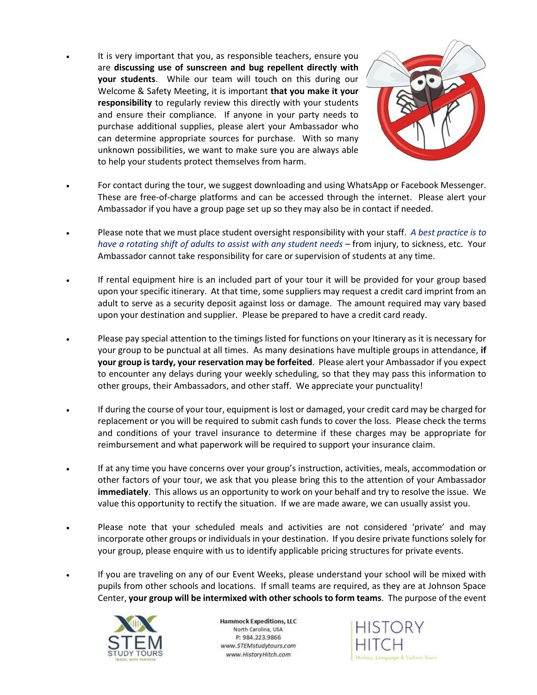It is very important that you, as responsible teachers, ensure you are **discussing use of sunscreen and bug repellent directly with your students**. While our team will touch on this during our Welcome & Safety Meeting, it is important **that you make it your responsibility** to regularly review this directly with your students and ensure their compliance. If anyone in your party needs to purchase additional supplies, please alert your Ambassador who can determine appropriate sources for purchase. With so many unknown possibilities, we want to make sure you are always able to help your students protect themselves from harm.



- For contact during the tour, we suggest downloading and using WhatsApp or Facebook Messenger. These are free-of-charge platforms and can be accessed through the internet. Please alert your Ambassador if you have a group page set up so they may also be in contact if needed.
- Please note that we must place student oversight responsibility with your staff. *A best practice is to have a rotating shift of adults to assist with any student needs* – from injury, to sickness, etc. Your Ambassador cannot take responsibility for care or supervision of students at any time.
- If rental equipment hire is an included part of your tour it will be provided for your group based upon your specific itinerary. At that time, some suppliers may request a credit card imprint from an adult to serve as a security deposit against loss or damage. The amount required may vary based upon your destination and supplier. Please be prepared to have a credit card ready.
- Please pay special attention to the timings listed for functions on your Itinerary as it is necessary for your group to be punctual at all times. As many desinations have multiple groups in attendance, **if your group is tardy, your reservation may be forfeited**. Please alert your Ambassador if you expect to encounter any delays during your weekly scheduling, so that they may pass this information to other groups, their Ambassadors, and other staff. We appreciate your punctuality!
- If during the course of your tour, equipment is lost or damaged, your credit card may be charged for replacement or you will be required to submit cash funds to cover the loss. Please check the terms and conditions of your travel insurance to determine if these charges may be appropriate for reimbursement and what paperwork will be required to support your insurance claim.
- If at any time you have concerns over your group's instruction, activities, meals, accommodation or other factors of your tour, we ask that you please bring this to the attention of your Ambassador **immediately**. This allows us an opportunity to work on your behalf and try to resolve the issue. We value this opportunity to rectify the situation. If we are made aware, we can usually assist you.
- Please note that your scheduled meals and activities are not considered 'private' and may incorporate other groups or individuals in your destination. If you desire private functions solely for your group, please enquire with us to identify applicable pricing structures for private events.
- If you are traveling on any of our Event Weeks, please understand your school will be mixed with pupils from other schools and locations. If small teams are required, as they are at Johnson Space Center, **your group will be intermixed with other schools to form teams**. The purpose of the event



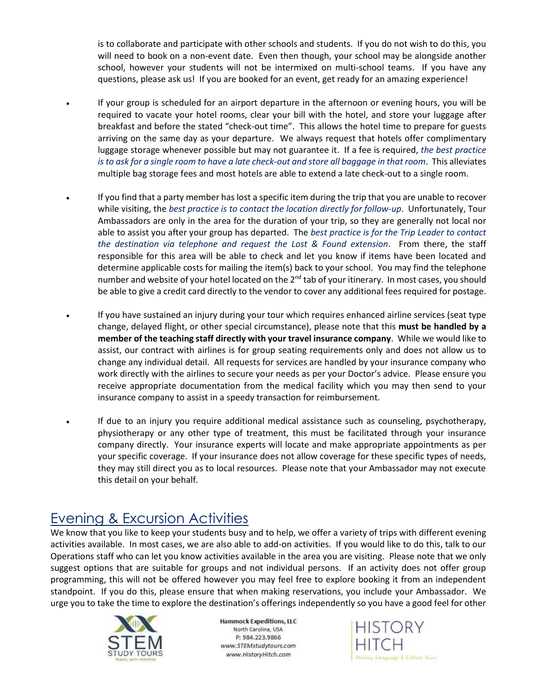is to collaborate and participate with other schools and students. If you do not wish to do this, you will need to book on a non-event date. Even then though, your school may be alongside another school, however your students will not be intermixed on multi-school teams. If you have any questions, please ask us! If you are booked for an event, get ready for an amazing experience!

- If your group is scheduled for an airport departure in the afternoon or evening hours, you will be required to vacate your hotel rooms, clear your bill with the hotel, and store your luggage after breakfast and before the stated "check-out time". This allows the hotel time to prepare for guests arriving on the same day as your departure. We always request that hotels offer complimentary luggage storage whenever possible but may not guarantee it. If a fee is required, *the best practice is to ask for a single room to have a late check-out and store all baggage in that room*. This alleviates multiple bag storage fees and most hotels are able to extend a late check-out to a single room.
- If you find that a party member has lost a specific item during the trip that you are unable to recover while visiting, the *best practice is to contact the location directly for follow-up*. Unfortunately, Tour Ambassadors are only in the area for the duration of your trip, so they are generally not local nor able to assist you after your group has departed. The *best practice is for the Trip Leader to contact the destination via telephone and request the Lost & Found extension*. From there, the staff responsible for this area will be able to check and let you know if items have been located and determine applicable costs for mailing the item(s) back to your school. You may find the telephone number and website of your hotel located on the 2<sup>nd</sup> tab of your itinerary. In most cases, you should be able to give a credit card directly to the vendor to cover any additional fees required for postage.
- If you have sustained an injury during your tour which requires enhanced airline services (seat type change, delayed flight, or other special circumstance), please note that this **must be handled by a member of the teaching staff directly with your travel insurance company**. While we would like to assist, our contract with airlines is for group seating requirements only and does not allow us to change any individual detail. All requests for services are handled by your insurance company who work directly with the airlines to secure your needs as per your Doctor's advice. Please ensure you receive appropriate documentation from the medical facility which you may then send to your insurance company to assist in a speedy transaction for reimbursement.
- If due to an injury you require additional medical assistance such as counseling, psychotherapy, physiotherapy or any other type of treatment, this must be facilitated through your insurance company directly. Your insurance experts will locate and make appropriate appointments as per your specific coverage. If your insurance does not allow coverage for these specific types of needs, they may still direct you as to local resources. Please note that your Ambassador may not execute this detail on your behalf.

#### Evening & Excursion Activities

We know that you like to keep your students busy and to help, we offer a variety of trips with different evening activities available. In most cases, we are also able to add-on activities. If you would like to do this, talk to our Operations staff who can let you know activities available in the area you are visiting. Please note that we only suggest options that are suitable for groups and not individual persons. If an activity does not offer group programming, this will not be offered however you may feel free to explore booking it from an independent standpoint. If you do this, please ensure that when making reservations, you include your Ambassador. We urge you to take the time to explore the destination's offerings independently so you have a good feel for other



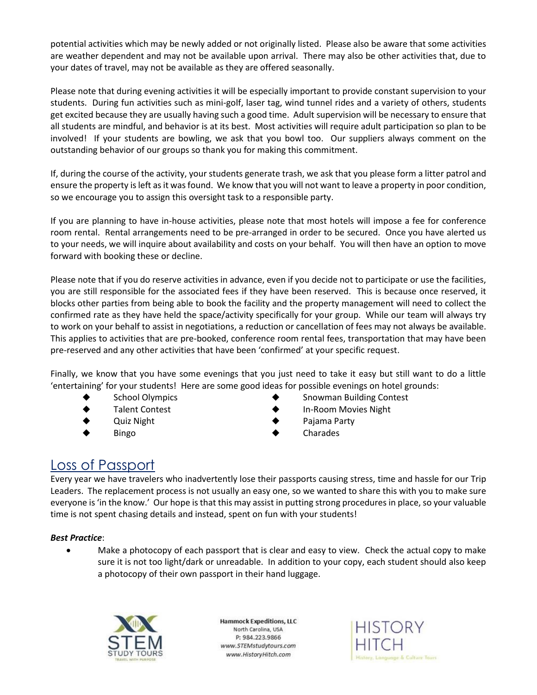potential activities which may be newly added or not originally listed. Please also be aware that some activities are weather dependent and may not be available upon arrival. There may also be other activities that, due to your dates of travel, may not be available as they are offered seasonally.

Please note that during evening activities it will be especially important to provide constant supervision to your students. During fun activities such as mini-golf, laser tag, wind tunnel rides and a variety of others, students get excited because they are usually having such a good time. Adult supervision will be necessary to ensure that all students are mindful, and behavior is at its best. Most activities will require adult participation so plan to be involved! If your students are bowling, we ask that you bowl too. Our suppliers always comment on the outstanding behavior of our groups so thank you for making this commitment.

If, during the course of the activity, your students generate trash, we ask that you please form a litter patrol and ensure the property is left as it was found. We know that you will not want to leave a property in poor condition, so we encourage you to assign this oversight task to a responsible party.

If you are planning to have in-house activities, please note that most hotels will impose a fee for conference room rental. Rental arrangements need to be pre-arranged in order to be secured. Once you have alerted us to your needs, we will inquire about availability and costs on your behalf. You will then have an option to move forward with booking these or decline.

Please note that if you do reserve activities in advance, even if you decide not to participate or use the facilities, you are still responsible for the associated fees if they have been reserved. This is because once reserved, it blocks other parties from being able to book the facility and the property management will need to collect the confirmed rate as they have held the space/activity specifically for your group. While our team will always try to work on your behalf to assist in negotiations, a reduction or cancellation of fees may not always be available. This applies to activities that are pre-booked, conference room rental fees, transportation that may have been pre-reserved and any other activities that have been 'confirmed' at your specific request.

Finally, we know that you have some evenings that you just need to take it easy but still want to do a little 'entertaining' for your students! Here are some good ideas for possible evenings on hotel grounds:

- 
- 
- 
- 
- School Olympics → Snowman Building Contest
- ◆ Talent Contest ◆ In-Room Movies Night
- ◆ Quiz Night ◆ Pajama Party
	- ◆ Bingo ◆ Charades

#### Loss of Passport

Every year we have travelers who inadvertently lose their passports causing stress, time and hassle for our Trip Leaders. The replacement process is not usually an easy one, so we wanted to share this with you to make sure everyone is 'in the know.' Our hope is that this may assist in putting strong procedures in place, so your valuable time is not spent chasing details and instead, spent on fun with your students!

#### *Best Practice*:

• Make a photocopy of each passport that is clear and easy to view. Check the actual copy to make sure it is not too light/dark or unreadable. In addition to your copy, each student should also keep a photocopy of their own passport in their hand luggage.



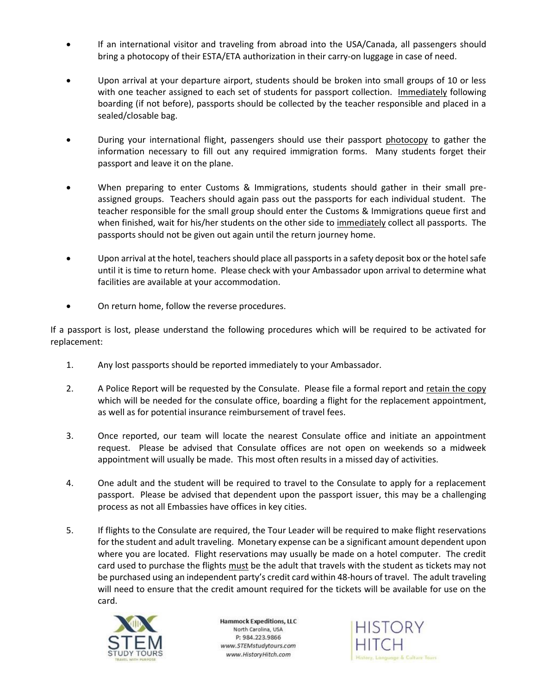- If an international visitor and traveling from abroad into the USA/Canada, all passengers should bring a photocopy of their ESTA/ETA authorization in their carry-on luggage in case of need.
- Upon arrival at your departure airport, students should be broken into small groups of 10 or less with one teacher assigned to each set of students for passport collection. Immediately following boarding (if not before), passports should be collected by the teacher responsible and placed in a sealed/closable bag.
- During your international flight, passengers should use their passport photocopy to gather the information necessary to fill out any required immigration forms. Many students forget their passport and leave it on the plane.
- When preparing to enter Customs & Immigrations, students should gather in their small preassigned groups. Teachers should again pass out the passports for each individual student. The teacher responsible for the small group should enter the Customs & Immigrations queue first and when finished, wait for his/her students on the other side to immediately collect all passports. The passports should not be given out again until the return journey home.
- Upon arrival at the hotel, teachers should place all passports in a safety deposit box or the hotel safe until it is time to return home. Please check with your Ambassador upon arrival to determine what facilities are available at your accommodation.
- On return home, follow the reverse procedures.

If a passport is lost, please understand the following procedures which will be required to be activated for replacement:

- 1. Any lost passports should be reported immediately to your Ambassador.
- 2. A Police Report will be requested by the Consulate. Please file a formal report and retain the copy which will be needed for the consulate office, boarding a flight for the replacement appointment, as well as for potential insurance reimbursement of travel fees.
- 3. Once reported, our team will locate the nearest Consulate office and initiate an appointment request. Please be advised that Consulate offices are not open on weekends so a midweek appointment will usually be made. This most often results in a missed day of activities.
- 4. One adult and the student will be required to travel to the Consulate to apply for a replacement passport. Please be advised that dependent upon the passport issuer, this may be a challenging process as not all Embassies have offices in key cities.
- 5. If flights to the Consulate are required, the Tour Leader will be required to make flight reservations for the student and adult traveling. Monetary expense can be a significant amount dependent upon where you are located. Flight reservations may usually be made on a hotel computer. The credit card used to purchase the flights must be the adult that travels with the student as tickets may not be purchased using an independent party's credit card within 48-hours of travel. The adult traveling will need to ensure that the credit amount required for the tickets will be available for use on the card.



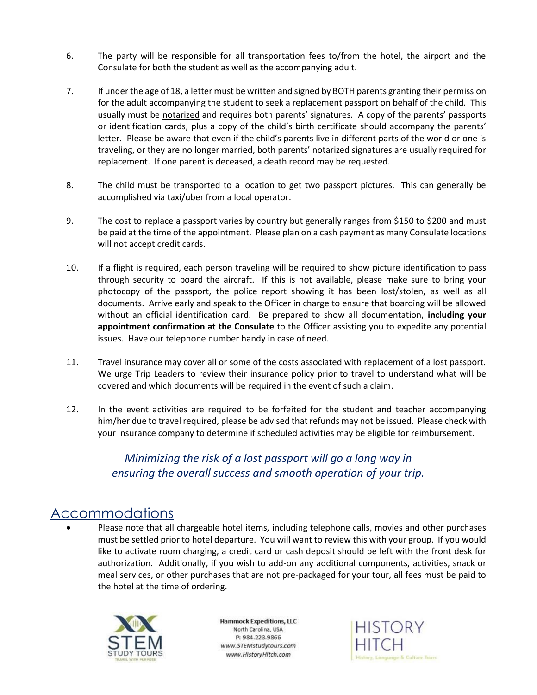- 6. The party will be responsible for all transportation fees to/from the hotel, the airport and the Consulate for both the student as well as the accompanying adult.
- 7. If under the age of 18, a letter must be written and signed by BOTH parents granting their permission for the adult accompanying the student to seek a replacement passport on behalf of the child. This usually must be notarized and requires both parents' signatures. A copy of the parents' passports or identification cards, plus a copy of the child's birth certificate should accompany the parents' letter. Please be aware that even if the child's parents live in different parts of the world or one is traveling, or they are no longer married, both parents' notarized signatures are usually required for replacement. If one parent is deceased, a death record may be requested.
- 8. The child must be transported to a location to get two passport pictures. This can generally be accomplished via taxi/uber from a local operator.
- 9. The cost to replace a passport varies by country but generally ranges from \$150 to \$200 and must be paid at the time of the appointment. Please plan on a cash payment as many Consulate locations will not accept credit cards.
- 10. If a flight is required, each person traveling will be required to show picture identification to pass through security to board the aircraft. If this is not available, please make sure to bring your photocopy of the passport, the police report showing it has been lost/stolen, as well as all documents. Arrive early and speak to the Officer in charge to ensure that boarding will be allowed without an official identification card. Be prepared to show all documentation, **including your appointment confirmation at the Consulate** to the Officer assisting you to expedite any potential issues. Have our telephone number handy in case of need.
- 11. Travel insurance may cover all or some of the costs associated with replacement of a lost passport. We urge Trip Leaders to review their insurance policy prior to travel to understand what will be covered and which documents will be required in the event of such a claim.
- 12. In the event activities are required to be forfeited for the student and teacher accompanying him/her due to travel required, please be advised that refunds may not be issued. Please check with your insurance company to determine if scheduled activities may be eligible for reimbursement.

#### *Minimizing the risk of a lost passport will go a long way in ensuring the overall success and smooth operation of your trip.*

#### Accommodations

• Please note that all chargeable hotel items, including telephone calls, movies and other purchases must be settled prior to hotel departure. You will want to review this with your group. If you would like to activate room charging, a credit card or cash deposit should be left with the front desk for authorization. Additionally, if you wish to add-on any additional components, activities, snack or meal services, or other purchases that are not pre-packaged for your tour, all fees must be paid to the hotel at the time of ordering.



**Hammock Expeditions, LLC** North Carolina, USA P: 984.223.9866 www.STEMstudytours.com www.HistoryHitch.com

**HISTORY** ry, Language & Culture Tours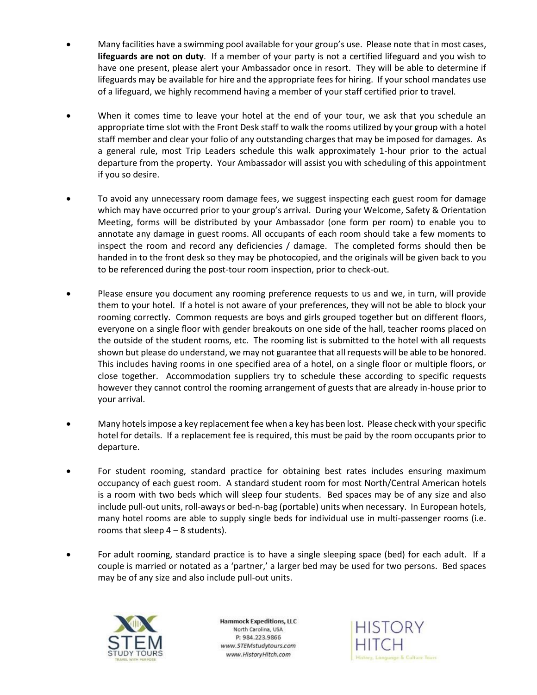- Many facilities have a swimming pool available for your group's use. Please note that in most cases, **lifeguards are not on duty**. If a member of your party is not a certified lifeguard and you wish to have one present, please alert your Ambassador once in resort. They will be able to determine if lifeguards may be available for hire and the appropriate fees for hiring. If your school mandates use of a lifeguard, we highly recommend having a member of your staff certified prior to travel.
- When it comes time to leave your hotel at the end of your tour, we ask that you schedule an appropriate time slot with the Front Desk staff to walk the rooms utilized by your group with a hotel staff member and clear your folio of any outstanding charges that may be imposed for damages. As a general rule, most Trip Leaders schedule this walk approximately 1-hour prior to the actual departure from the property. Your Ambassador will assist you with scheduling of this appointment if you so desire.
- To avoid any unnecessary room damage fees, we suggest inspecting each guest room for damage which may have occurred prior to your group's arrival. During your Welcome, Safety & Orientation Meeting, forms will be distributed by your Ambassador (one form per room) to enable you to annotate any damage in guest rooms. All occupants of each room should take a few moments to inspect the room and record any deficiencies / damage. The completed forms should then be handed in to the front desk so they may be photocopied, and the originals will be given back to you to be referenced during the post-tour room inspection, prior to check-out.
- Please ensure you document any rooming preference requests to us and we, in turn, will provide them to your hotel. If a hotel is not aware of your preferences, they will not be able to block your rooming correctly. Common requests are boys and girls grouped together but on different floors, everyone on a single floor with gender breakouts on one side of the hall, teacher rooms placed on the outside of the student rooms, etc. The rooming list is submitted to the hotel with all requests shown but please do understand, we may not guarantee that all requests will be able to be honored. This includes having rooms in one specified area of a hotel, on a single floor or multiple floors, or close together. Accommodation suppliers try to schedule these according to specific requests however they cannot control the rooming arrangement of guests that are already in-house prior to your arrival.
- Many hotels impose a key replacement fee when a key has been lost. Please check with your specific hotel for details. If a replacement fee is required, this must be paid by the room occupants prior to departure.
- For student rooming, standard practice for obtaining best rates includes ensuring maximum occupancy of each guest room. A standard student room for most North/Central American hotels is a room with two beds which will sleep four students. Bed spaces may be of any size and also include pull-out units, roll-aways or bed-n-bag (portable) units when necessary. In European hotels, many hotel rooms are able to supply single beds for individual use in multi-passenger rooms (i.e. rooms that sleep  $4 - 8$  students).
- For adult rooming, standard practice is to have a single sleeping space (bed) for each adult. If a couple is married or notated as a 'partner,' a larger bed may be used for two persons. Bed spaces may be of any size and also include pull-out units.



**Hammock Expeditions, LLC** North Carolina, USA P: 984.223.9866 www.STEMstudytours.com www.HistoryHitch.com

**HISTORY** ory, Language & Culture Tours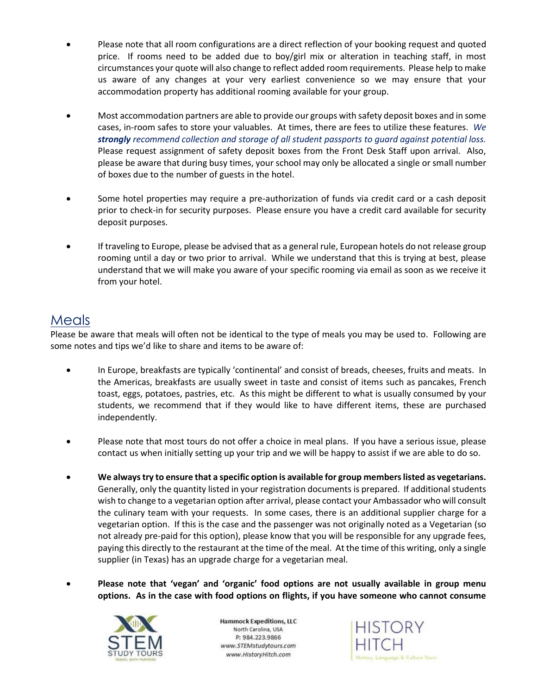- Please note that all room configurations are a direct reflection of your booking request and quoted price. If rooms need to be added due to boy/girl mix or alteration in teaching staff, in most circumstances your quote will also change to reflect added room requirements. Please help to make us aware of any changes at your very earliest convenience so we may ensure that your accommodation property has additional rooming available for your group.
- Most accommodation partners are able to provide our groups with safety deposit boxes and in some cases, in-room safes to store your valuables. At times, there are fees to utilize these features. *We strongly recommend collection and storage of all student passports to guard against potential loss.* Please request assignment of safety deposit boxes from the Front Desk Staff upon arrival. Also, please be aware that during busy times, your school may only be allocated a single or small number of boxes due to the number of guests in the hotel.
- Some hotel properties may require a pre-authorization of funds via credit card or a cash deposit prior to check-in for security purposes. Please ensure you have a credit card available for security deposit purposes.
- If traveling to Europe, please be advised that as a general rule, European hotels do not release group rooming until a day or two prior to arrival. While we understand that this is trying at best, please understand that we will make you aware of your specific rooming via email as soon as we receive it from your hotel.

#### Meals

Please be aware that meals will often not be identical to the type of meals you may be used to. Following are some notes and tips we'd like to share and items to be aware of:

- In Europe, breakfasts are typically 'continental' and consist of breads, cheeses, fruits and meats. In the Americas, breakfasts are usually sweet in taste and consist of items such as pancakes, French toast, eggs, potatoes, pastries, etc. As this might be different to what is usually consumed by your students, we recommend that if they would like to have different items, these are purchased independently.
- Please note that most tours do not offer a choice in meal plans. If you have a serious issue, please contact us when initially setting up your trip and we will be happy to assist if we are able to do so.
- **We always try to ensure that a specific option is available for group members listed as vegetarians.**  Generally, only the quantity listed in your registration documents is prepared. If additional students wish to change to a vegetarian option after arrival, please contact your Ambassador who will consult the culinary team with your requests. In some cases, there is an additional supplier charge for a vegetarian option. If this is the case and the passenger was not originally noted as a Vegetarian (so not already pre-paid for this option), please know that you will be responsible for any upgrade fees, paying this directly to the restaurant at the time of the meal. At the time of this writing, only a single supplier (in Texas) has an upgrade charge for a vegetarian meal.
- **Please note that 'vegan' and 'organic' food options are not usually available in group menu options. As in the case with food options on flights, if you have someone who cannot consume**



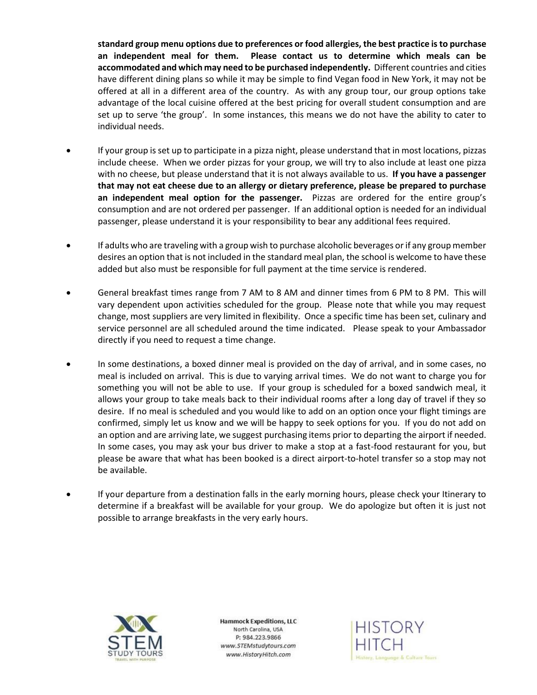**standard group menu options due to preferences or food allergies, the best practice is to purchase an independent meal for them. Please contact us to determine which meals can be accommodated and which may need to be purchased independently.** Different countries and cities have different dining plans so while it may be simple to find Vegan food in New York, it may not be offered at all in a different area of the country. As with any group tour, our group options take advantage of the local cuisine offered at the best pricing for overall student consumption and are set up to serve 'the group'. In some instances, this means we do not have the ability to cater to individual needs.

- If your group is set up to participate in a pizza night, please understand that in most locations, pizzas include cheese.When we order pizzas for your group, we will try to also include at least one pizza with no cheese, but please understand that it is not always available to us. **If you have a passenger that may not eat cheese due to an allergy or dietary preference, please be prepared to purchase an independent meal option for the passenger.** Pizzas are ordered for the entire group's consumption and are not ordered per passenger. If an additional option is needed for an individual passenger, please understand it is your responsibility to bear any additional fees required.
- If adults who are traveling with a group wish to purchase alcoholic beverages or if any group member desires an option that is not included in the standard meal plan, the school is welcome to have these added but also must be responsible for full payment at the time service is rendered.
- General breakfast times range from 7 AM to 8 AM and dinner times from 6 PM to 8 PM. This will vary dependent upon activities scheduled for the group. Please note that while you may request change, most suppliers are very limited in flexibility. Once a specific time has been set, culinary and service personnel are all scheduled around the time indicated. Please speak to your Ambassador directly if you need to request a time change.
- In some destinations, a boxed dinner meal is provided on the day of arrival, and in some cases, no meal is included on arrival. This is due to varying arrival times. We do not want to charge you for something you will not be able to use. If your group is scheduled for a boxed sandwich meal, it allows your group to take meals back to their individual rooms after a long day of travel if they so desire. If no meal is scheduled and you would like to add on an option once your flight timings are confirmed, simply let us know and we will be happy to seek options for you. If you do not add on an option and are arriving late, we suggest purchasing items prior to departing the airport if needed. In some cases, you may ask your bus driver to make a stop at a fast-food restaurant for you, but please be aware that what has been booked is a direct airport-to-hotel transfer so a stop may not be available.
- If your departure from a destination falls in the early morning hours, please check your Itinerary to determine if a breakfast will be available for your group. We do apologize but often it is just not possible to arrange breakfasts in the very early hours.



**Hammock Expeditions, LLC** North Carolina, USA P: 984.223.9866 www.STEMstudytours.com www.HistoryHitch.com

**HISTORY** ory, Language & Culture Tours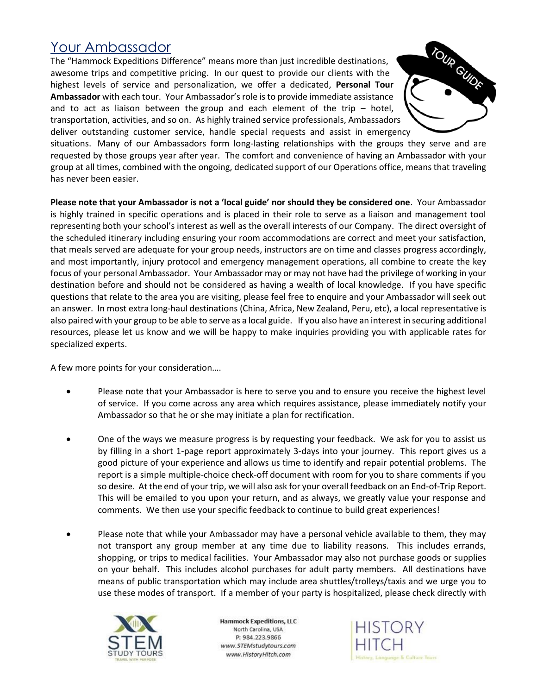#### Your Ambassador

The "Hammock Expeditions Difference" means more than just incredible destinations, awesome trips and competitive pricing. In our quest to provide our clients with the highest levels of service and personalization, we offer a dedicated, **Personal Tour Ambassador** with each tour. Your Ambassador's role is to provide immediate assistance and to act as liaison between the group and each element of the trip – hotel, transportation, activities, and so on. As highly trained service professionals, Ambassadors deliver outstanding customer service, handle special requests and assist in emergency



situations. Many of our Ambassadors form long-lasting relationships with the groups they serve and are requested by those groups year after year. The comfort and convenience of having an Ambassador with your group at all times, combined with the ongoing, dedicated support of our Operations office, means that traveling has never been easier.

**Please note that your Ambassador is not a 'local guide' nor should they be considered one**. Your Ambassador is highly trained in specific operations and is placed in their role to serve as a liaison and management tool representing both your school's interest as well as the overall interests of our Company. The direct oversight of the scheduled itinerary including ensuring your room accommodations are correct and meet your satisfaction, that meals served are adequate for your group needs, instructors are on time and classes progress accordingly, and most importantly, injury protocol and emergency management operations, all combine to create the key focus of your personal Ambassador. Your Ambassador may or may not have had the privilege of working in your destination before and should not be considered as having a wealth of local knowledge. If you have specific questions that relate to the area you are visiting, please feel free to enquire and your Ambassador will seek out an answer. In most extra long-haul destinations (China, Africa, New Zealand, Peru, etc), a local representative is also paired with your group to be able to serve as a local guide. If you also have an interest in securing additional resources, please let us know and we will be happy to make inquiries providing you with applicable rates for specialized experts.

A few more points for your consideration….

- Please note that your Ambassador is here to serve you and to ensure you receive the highest level of service. If you come across any area which requires assistance, please immediately notify your Ambassador so that he or she may initiate a plan for rectification.
- One of the ways we measure progress is by requesting your feedback. We ask for you to assist us by filling in a short 1-page report approximately 3-days into your journey. This report gives us a good picture of your experience and allows us time to identify and repair potential problems. The report is a simple multiple-choice check-off document with room for you to share comments if you so desire. At the end of your trip, we will also ask for your overall feedback on an End-of-Trip Report. This will be emailed to you upon your return, and as always, we greatly value your response and comments. We then use your specific feedback to continue to build great experiences!
- Please note that while your Ambassador may have a personal vehicle available to them, they may not transport any group member at any time due to liability reasons. This includes errands, shopping, or trips to medical facilities. Your Ambassador may also not purchase goods or supplies on your behalf. This includes alcohol purchases for adult party members. All destinations have means of public transportation which may include area shuttles/trolleys/taxis and we urge you to use these modes of transport. If a member of your party is hospitalized, please check directly with